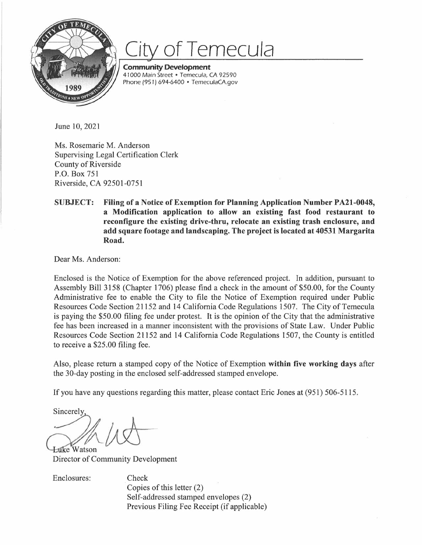

## **of** *Temecula*

**Community Development**  41000 Main Street • Temecula, CA 92590 Phone (951) 694-6400 • TemeculaCA.gov

June 10, 2021

Ms. Rosemarie M. Anderson Supervising Legal Certification Clerk County of Riverside P.O. Box 751 Riverside, CA 92501-0751

## **SUBJECT: Filing of a Notice of Exemption for Planning Application Number PA21-0048, a Modification application to allow an existing fast food restaurant to reconfigure the existing drive-thru, relocate an existing trash enclosure, and add square footage and landscaping. The project is located at 40531 Margarita Road.**

Dear Ms. Anderson:

Enclosed is the Notice of Exemption for the above referenced project. In addition, pursuant to Assembly Bill 3158 (Chapter 1706) please find a check in the amount of \$50.00, for the County Administrative fee to enable the City to file the Notice of Exemption required under Public Resources Code Section 21152 and 14 California Code Regulations 1507. The City of Temecula is paying the \$50.00 filing fee under protest. It is the opinion of the City that the administrative fee has been increased in a manner inconsistent with the provisions of State Law. Under Public Resources Code Section 21152 and 14 California Code Regulations 1507, the County is entitled to receive a \$25.00 filing fee.

Also, please return a stamped copy of the Notice of Exemption **within five working days** after the 30-day posting in the enclosed self-addressed stamped envelope.

If you have any questions regarding this matter, please contact Eric Jones at (951) 506-5115.

Sincerely

**Luke Watson** Director of Community Development

Enclosures: Check

Copies of this letter (2) Self-addressed stamped envelopes (2) Previous Filing Fee Receipt (if applicable)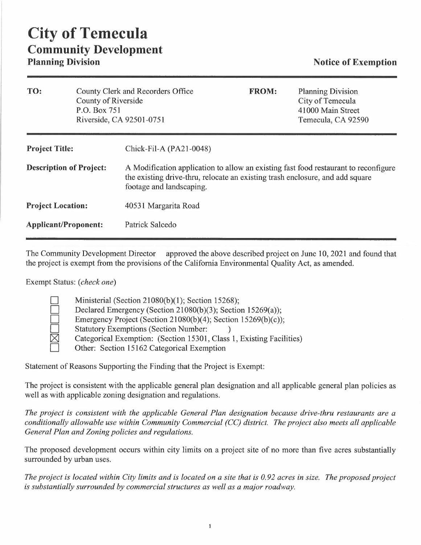| TO:                            | County of Riverside<br>P.O. Box 751<br>Riverside, CA 92501-0751 | County Clerk and Recorders Office                                                                                                                                                                | <b>FROM:</b> | <b>Planning Division</b><br>City of Temecula<br>41000 Main Street<br>Temecula, CA 92590 |
|--------------------------------|-----------------------------------------------------------------|--------------------------------------------------------------------------------------------------------------------------------------------------------------------------------------------------|--------------|-----------------------------------------------------------------------------------------|
| <b>Project Title:</b>          |                                                                 | Chick-Fil-A (PA21-0048)                                                                                                                                                                          |              |                                                                                         |
| <b>Description of Project:</b> |                                                                 | A Modification application to allow an existing fast food restaurant to reconfigure<br>the existing drive-thru, relocate an existing trash enclosure, and add square<br>footage and landscaping. |              |                                                                                         |
| <b>Project Location:</b>       |                                                                 | 40531 Margarita Road                                                                                                                                                                             |              |                                                                                         |
| <b>Applicant/Proponent:</b>    |                                                                 | Patrick Salcedo                                                                                                                                                                                  |              |                                                                                         |

The Community Development Director approved the above described project on June 10, 2021 and found that the project is exempt from the provisions of the California Environmental Quality Act, as amended.

Exempt Status: *(check one)* 

| Ministerial (Section 21080(b)(1); Section 15268);                    |
|----------------------------------------------------------------------|
| Declared Emergency (Section 21080(b)(3); Section 15269(a));          |
| Emergency Project (Section 21080(b)(4); Section 15269(b)(c));        |
| <b>Statutory Exemptions (Section Number:</b>                         |
| Categorical Exemption: (Section 15301, Class 1, Existing Facilities) |
| Other: Section 15162 Categorical Exemption                           |

Statement of Reasons Supporting the Finding that the Project is Exempt:

The project is consistent with the applicable general plan designation and all applicable general plan policies as well as with applicable zoning designation and regulations.

*The project is consistent with the applicable General Plan designation because drive-thru restaurants are a conditionally allowable use within Community Commercial (CC) district. The project also meets all applicable General Plan and Zoning policies and regulations.* 

The proposed development occurs within city limits on a project site of no more than five acres substantially surrounded by urban uses.

*The project is located within City limits and is located on a site that is 0.92 acres in size. The proposed project is substantially surrounded by commercial structures as well as a major roadway.*